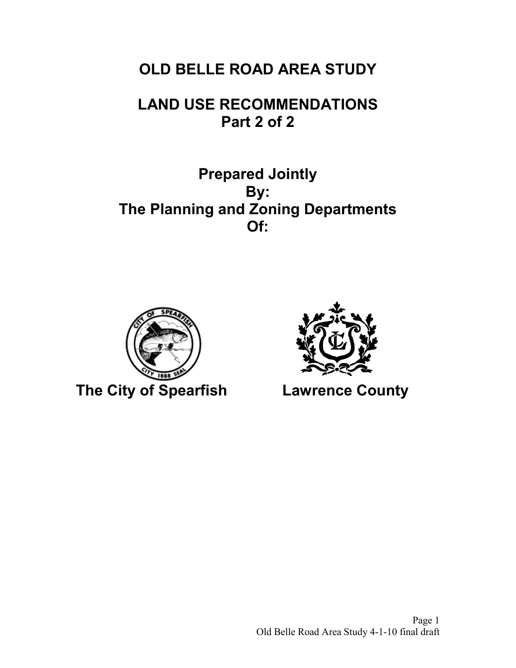# **OLD BELLE ROAD AREA STUDY**

# **LAND USE RECOMMENDATIONS Part 2 of 2**

**Prepared Jointly By: The Planning and Zoning Departments Of:**



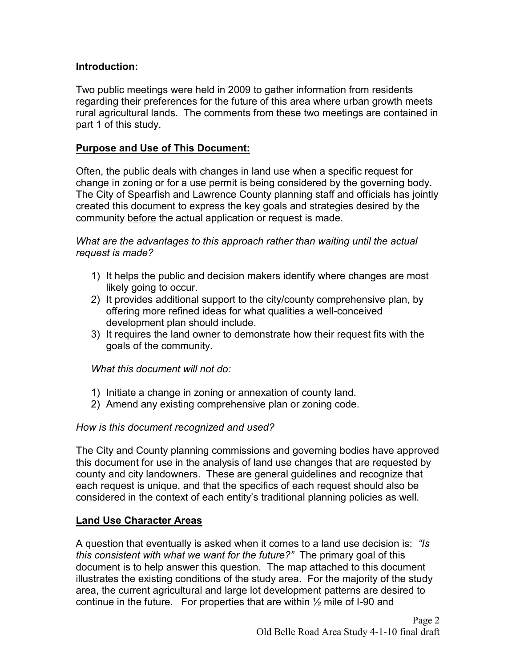### **Introduction:**

Two public meetings were held in 2009 to gather information from residents regarding their preferences for the future of this area where urban growth meets rural agricultural lands. The comments from these two meetings are contained in part 1 of this study.

### **Purpose and Use of This Document:**

Often, the public deals with changes in land use when a specific request for change in zoning or for a use permit is being considered by the governing body. The City of Spearfish and Lawrence County planning staff and officials has jointly created this document to express the key goals and strategies desired by the community before the actual application or request is made.

*What are the advantages to this approach rather than waiting until the actual request is made?*

- 1) It helps the public and decision makers identify where changes are most likely going to occur.
- 2) It provides additional support to the city/county comprehensive plan, by offering more refined ideas for what qualities a well-conceived development plan should include.
- 3) It requires the land owner to demonstrate how their request fits with the goals of the community.

*What this document will not do:*

- 1) Initiate a change in zoning or annexation of county land.
- 2) Amend any existing comprehensive plan or zoning code.

#### *How is this document recognized and used?*

The City and County planning commissions and governing bodies have approved this document for use in the analysis of land use changes that are requested by county and city landowners. These are general guidelines and recognize that each request is unique, and that the specifics of each request should also be considered in the context of each entity's traditional planning policies as well.

#### **Land Use Character Areas**

A question that eventually is asked when it comes to a land use decision is: *"Is this consistent with what we want for the future?"* The primary goal of this document is to help answer this question. The map attached to this document illustrates the existing conditions of the study area. For the majority of the study area, the current agricultural and large lot development patterns are desired to continue in the future. For properties that are within  $\frac{1}{2}$  mile of I-90 and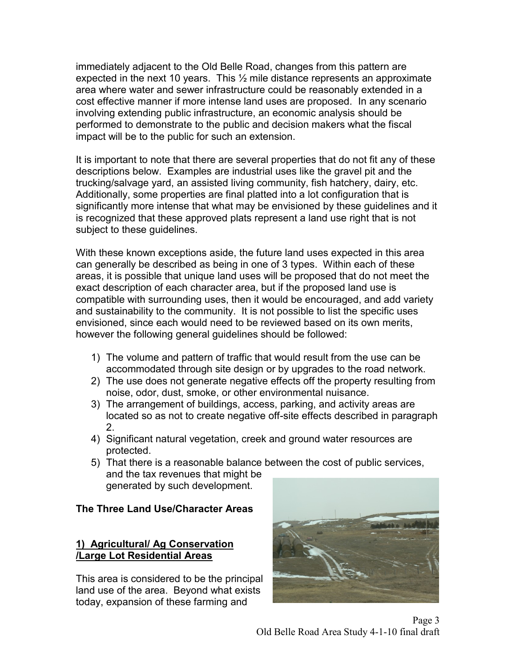immediately adjacent to the Old Belle Road, changes from this pattern are expected in the next 10 years. This ½ mile distance represents an approximate area where water and sewer infrastructure could be reasonably extended in a cost effective manner if more intense land uses are proposed. In any scenario involving extending public infrastructure, an economic analysis should be performed to demonstrate to the public and decision makers what the fiscal impact will be to the public for such an extension.

It is important to note that there are several properties that do not fit any of these descriptions below. Examples are industrial uses like the gravel pit and the trucking/salvage yard, an assisted living community, fish hatchery, dairy, etc. Additionally, some properties are final platted into a lot configuration that is significantly more intense that what may be envisioned by these guidelines and it is recognized that these approved plats represent a land use right that is not subject to these guidelines.

With these known exceptions aside, the future land uses expected in this area can generally be described as being in one of 3 types. Within each of these areas, it is possible that unique land uses will be proposed that do not meet the exact description of each character area, but if the proposed land use is compatible with surrounding uses, then it would be encouraged, and add variety and sustainability to the community. It is not possible to list the specific uses envisioned, since each would need to be reviewed based on its own merits, however the following general guidelines should be followed:

- 1) The volume and pattern of traffic that would result from the use can be accommodated through site design or by upgrades to the road network.
- 2) The use does not generate negative effects off the property resulting from noise, odor, dust, smoke, or other environmental nuisance.
- 3) The arrangement of buildings, access, parking, and activity areas are located so as not to create negative off-site effects described in paragraph 2.
- 4) Significant natural vegetation, creek and ground water resources are protected.
- 5) That there is a reasonable balance between the cost of public services, and the tax revenues that might be generated by such development.

**The Three Land Use/Character Areas**

## **1) Agricultural/ Ag Conservation /Large Lot Residential Areas**

This area is considered to be the principal land use of the area. Beyond what exists today, expansion of these farming and

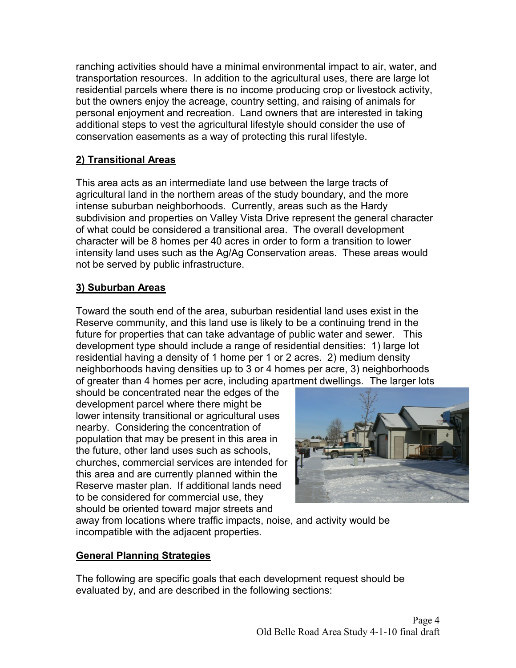ranching activities should have a minimal environmental impact to air, water, and transportation resources. In addition to the agricultural uses, there are large lot residential parcels where there is no income producing crop or livestock activity, but the owners enjoy the acreage, country setting, and raising of animals for personal enjoyment and recreation. Land owners that are interested in taking additional steps to vest the agricultural lifestyle should consider the use of conservation easements as a way of protecting this rural lifestyle.

# **2) Transitional Areas**

This area acts as an intermediate land use between the large tracts of agricultural land in the northern areas of the study boundary, and the more intense suburban neighborhoods. Currently, areas such as the Hardy subdivision and properties on Valley Vista Drive represent the general character of what could be considered a transitional area. The overall development character will be 8 homes per 40 acres in order to form a transition to lower intensity land uses such as the Ag/Ag Conservation areas. These areas would not be served by public infrastructure.

# **3) Suburban Areas**

Toward the south end of the area, suburban residential land uses exist in the Reserve community, and this land use is likely to be a continuing trend in the future for properties that can take advantage of public water and sewer. This development type should include a range of residential densities: 1) large lot residential having a density of 1 home per 1 or 2 acres. 2) medium density neighborhoods having densities up to 3 or 4 homes per acre, 3) neighborhoods of greater than 4 homes per acre, including apartment dwellings. The larger lots

should be concentrated near the edges of the development parcel where there might be lower intensity transitional or agricultural uses nearby. Considering the concentration of population that may be present in this area in the future, other land uses such as schools, churches, commercial services are intended for this area and are currently planned within the Reserve master plan. If additional lands need to be considered for commercial use, they should be oriented toward major streets and



away from locations where traffic impacts, noise, and activity would be incompatible with the adjacent properties.

## **General Planning Strategies**

The following are specific goals that each development request should be evaluated by, and are described in the following sections: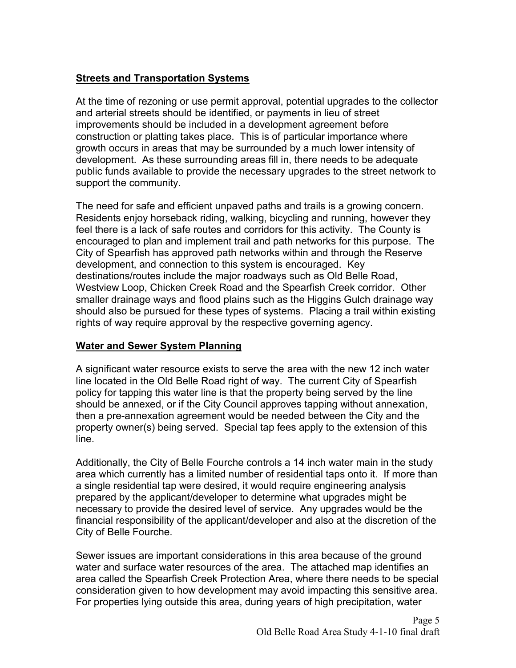## **Streets and Transportation Systems**

At the time of rezoning or use permit approval, potential upgrades to the collector and arterial streets should be identified, or payments in lieu of street improvements should be included in a development agreement before construction or platting takes place. This is of particular importance where growth occurs in areas that may be surrounded by a much lower intensity of development. As these surrounding areas fill in, there needs to be adequate public funds available to provide the necessary upgrades to the street network to support the community.

The need for safe and efficient unpaved paths and trails is a growing concern. Residents enjoy horseback riding, walking, bicycling and running, however they feel there is a lack of safe routes and corridors for this activity. The County is encouraged to plan and implement trail and path networks for this purpose. The City of Spearfish has approved path networks within and through the Reserve development, and connection to this system is encouraged. Key destinations/routes include the major roadways such as Old Belle Road, Westview Loop, Chicken Creek Road and the Spearfish Creek corridor. Other smaller drainage ways and flood plains such as the Higgins Gulch drainage way should also be pursued for these types of systems. Placing a trail within existing rights of way require approval by the respective governing agency.

#### **Water and Sewer System Planning**

A significant water resource exists to serve the area with the new 12 inch water line located in the Old Belle Road right of way. The current City of Spearfish policy for tapping this water line is that the property being served by the line should be annexed, or if the City Council approves tapping without annexation, then a pre-annexation agreement would be needed between the City and the property owner(s) being served. Special tap fees apply to the extension of this line.

Additionally, the City of Belle Fourche controls a 14 inch water main in the study area which currently has a limited number of residential taps onto it. If more than a single residential tap were desired, it would require engineering analysis prepared by the applicant/developer to determine what upgrades might be necessary to provide the desired level of service. Any upgrades would be the financial responsibility of the applicant/developer and also at the discretion of the City of Belle Fourche.

Sewer issues are important considerations in this area because of the ground water and surface water resources of the area. The attached map identifies an area called the Spearfish Creek Protection Area, where there needs to be special consideration given to how development may avoid impacting this sensitive area. For properties lying outside this area, during years of high precipitation, water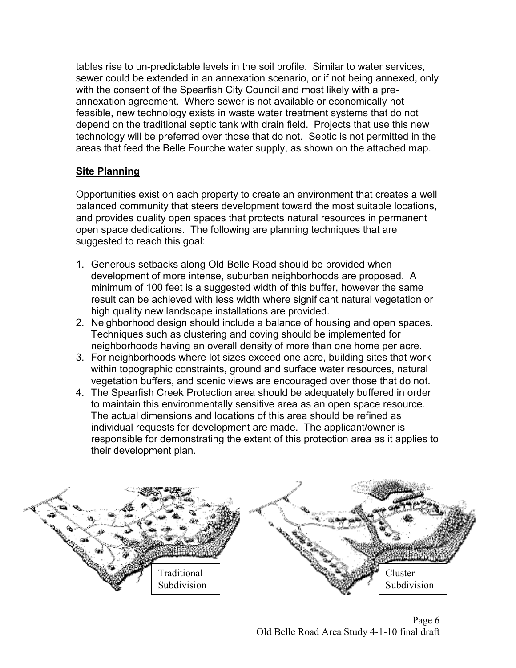tables rise to un-predictable levels in the soil profile. Similar to water services, sewer could be extended in an annexation scenario, or if not being annexed, only with the consent of the Spearfish City Council and most likely with a preannexation agreement. Where sewer is not available or economically not feasible, new technology exists in waste water treatment systems that do not depend on the traditional septic tank with drain field. Projects that use this new technology will be preferred over those that do not. Septic is not permitted in the areas that feed the Belle Fourche water supply, as shown on the attached map.

## **Site Planning**

Opportunities exist on each property to create an environment that creates a well balanced community that steers development toward the most suitable locations, and provides quality open spaces that protects natural resources in permanent open space dedications. The following are planning techniques that are suggested to reach this goal:

- 1. Generous setbacks along Old Belle Road should be provided when development of more intense, suburban neighborhoods are proposed. A minimum of 100 feet is a suggested width of this buffer, however the same result can be achieved with less width where significant natural vegetation or high quality new landscape installations are provided.
- 2. Neighborhood design should include a balance of housing and open spaces. Techniques such as clustering and coving should be implemented for neighborhoods having an overall density of more than one home per acre.
- 3. For neighborhoods where lot sizes exceed one acre, building sites that work within topographic constraints, ground and surface water resources, natural vegetation buffers, and scenic views are encouraged over those that do not.
- 4. The Spearfish Creek Protection area should be adequately buffered in order to maintain this environmentally sensitive area as an open space resource. The actual dimensions and locations of this area should be refined as individual requests for development are made. The applicant/owner is responsible for demonstrating the extent of this protection area as it applies to their development plan.



Page 6 Old Belle Road Area Study 4-1-10 final draft